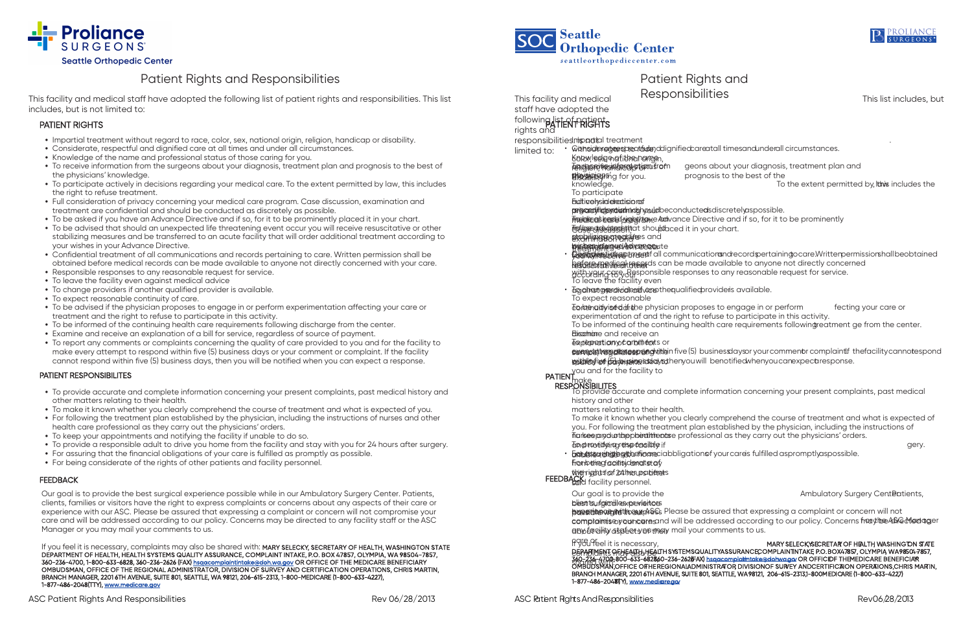

# Patient Rights and Responsibilities

This facility and medical staff have adopted the following list of patient rights and responsibilities. This list includes, but is not limited to:

### PATIENT RIGHTS

- Impartial treatment without regard to race, color, sex, national origin, religion, handicap or disability.
- Considerate, respectful and dignified care at all times and under all circumstances.
- Knowledge of the name and professional status of those caring for you.
- To receive information from the surgeons about your diagnosis, treatment plan and prognosis to the best of the physicians' knowledge.
- To participate actively in decisions regarding your medical care. To the extent permitted by law, this includes the right to refuse treatment.
- Full consideration of privacy concerning your medical care program. Case discussion, examination and treatment are confidential and should be conducted as discretely as possible.
- To be asked if you have an Advance Directive and if so, for it to be prominently placed it in your chart.
- To be advised that should an unexpected life threatening event occur you will receive resuscitative or other stabilizing measures and be transferred to an acute facility that will order additional treatment according to your wishes in your Advance Directive.
- Confidential treatment of all communications and records pertaining to care. Written permission shall be obtained before medical records can be made available to anyone not directly concerned with your care.
- Responsible responses to any reasonable request for service.
- To leave the facility even against medical advice
- To change providers if another qualified provider is available.
- To expect reasonable continuity of care.
- To be advised if the physician proposes to engage in or perform experimentation affecting your care or treatment and the right to refuse to participate in this activity.
- To be informed of the continuing health care requirements following discharge from the center.
- Examine and receive an explanation of a bill for service, regardless of source of payment.
- To report any comments or complaints concerning the quality of care provided to you and for the facility to make every attempt to respond within five (5) business days or your comment or complaint. If the facility cannot respond within five (5) business days, then you will be notified when you can expect a response.

#### PATIENT RESPONSIBILITES

- To provide accurate and complete information concerning your present complaints, past medical history and other matters relating to their health.
- To make it known whether you clearly comprehend the course of treatment and what is expected of you.
- For following the treatment plan established by the physician, including the instructions of nurses and other health care professional as they carry out the physicians' orders.
- To keep your appointments and notifying the facility if unable to do so.
- To provide a responsible adult to drive you home from the facility and stay with you for 24 hours after surgery.
- For assuring that the financial obligations of your care is fulfilled as promptly as possible.
- For being considerate of the rights of other patients and facility personnel.

#### **FEEDBACK**

Our goal is to provide the best surgical experience possible while in our Ambulatory Surgery Center. Patients, clients, families or visitors have the right to express complaints or concerns about any aspects of their care or experience with our ASC. Please be assured that expressing a complaint or concern will not compromise your care and will be addressed according to our policy. Concerns may be directed to any facility staff or the ASC Manager or you may mail your comments to us.

If you feel it is necessary, complaints may also be shared with: MARY SELECKY, SECRETARY OF HEALTH, WASHINGTON STATE DEPARTMENT OF HEALTH, HEALTH SYSTEMS QUALITY ASSURANCE, COMPLAINT INTAKE, P.O. BOX 47857, OLYMPIA, WA 98504-7857, 360-236-4700, 1-800-633-6828, 360-236-2626 (FAX) hsqacomplaintintake@doh.wa.gov OR OFFICE OF THE MEDICARE BENEFICIARY OMBUDSMAN, OFFICE OF THE REGIONAL ADMINISTRATOR, DIVISION OF SURVEY AND CERTIFICATION OPERATIONS, CHRIS MARTIN, BRANCH MANAGER, 2201 6TH AVENUE, SUITE 801, SEATTLE, WA 98121, 206-615-2313, 1-800-MEDICARE (1-800-633-4227), 1-877-486-2048(TTY), www.medicare.gov